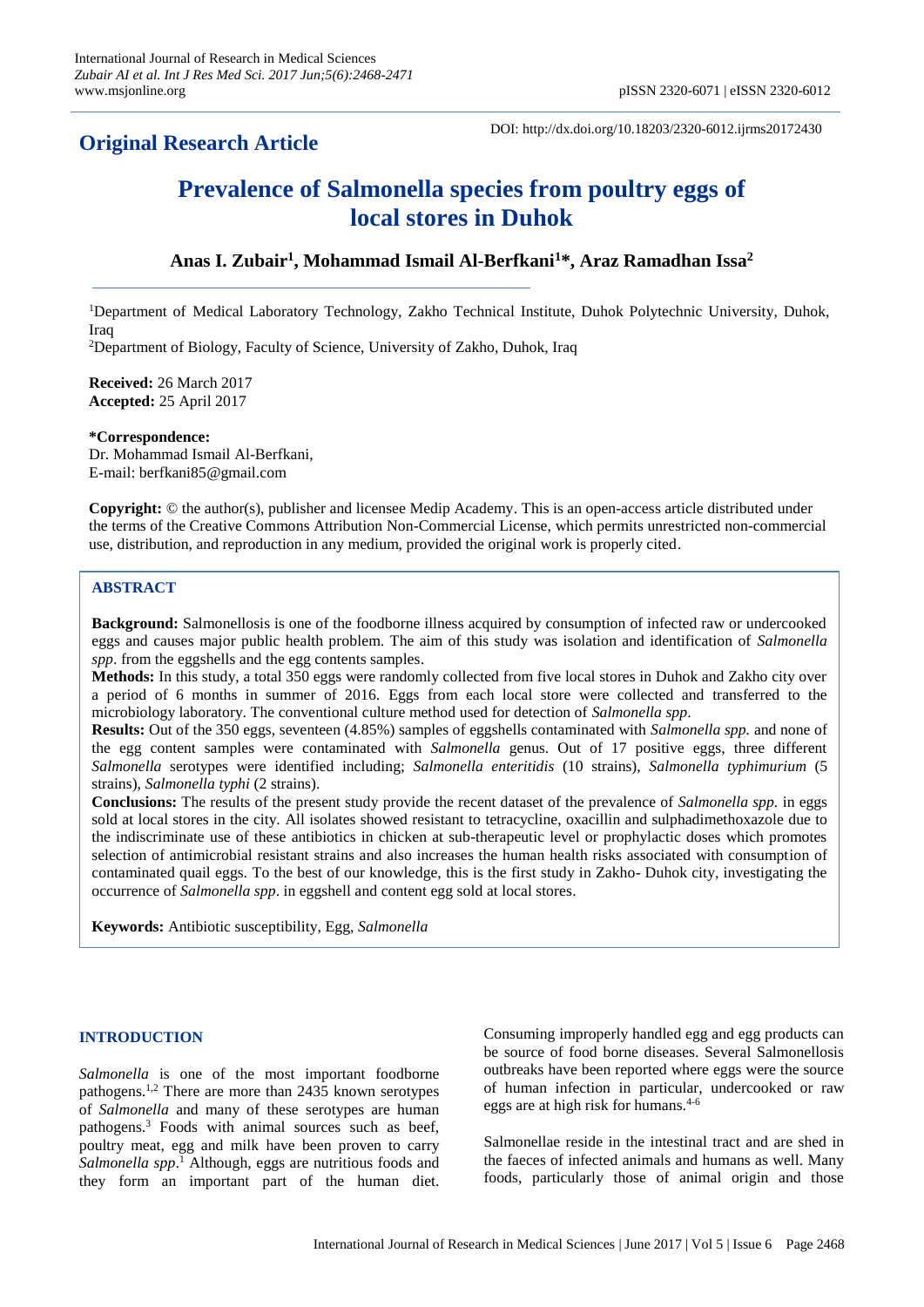## **Original Research Article**

DOI: http://dx.doi.org/10.18203/2320-6012.ijrms20172430

# **Prevalence of Salmonella species from poultry eggs of local stores in Duhok**

### **Anas I. Zubair<sup>1</sup> , Mohammad Ismail Al-Berfkani<sup>1</sup>\*, Araz Ramadhan Issa<sup>2</sup>**

<sup>1</sup>Department of Medical Laboratory Technology, Zakho Technical Institute, Duhok Polytechnic University, Duhok, Iraq

<sup>2</sup>Department of Biology, Faculty of Science, University of Zakho, Duhok, Iraq

**Received:** 26 March 2017 **Accepted:** 25 April 2017

**\*Correspondence:** Dr. Mohammad Ismail Al-Berfkani, E-mail: berfkani85@gmail.com

**Copyright:** © the author(s), publisher and licensee Medip Academy. This is an open-access article distributed under the terms of the Creative Commons Attribution Non-Commercial License, which permits unrestricted non-commercial use, distribution, and reproduction in any medium, provided the original work is properly cited.

#### **ABSTRACT**

**Background:** Salmonellosis is one of the foodborne illness acquired by consumption of infected raw or undercooked eggs and causes major public health problem. The aim of this study was isolation and identification of *Salmonella spp*. from the eggshells and the egg contents samples.

**Methods:** In this study, a total 350 eggs were randomly collected from five local stores in Duhok and Zakho city over a period of 6 months in summer of 2016. Eggs from each local store were collected and transferred to the microbiology laboratory. The conventional culture method used for detection of *Salmonella spp*.

**Results:** Out of the 350 eggs, seventeen (4.85%) samples of eggshells contaminated with *Salmonella spp.* and none of the egg content samples were contaminated with *Salmonella* genus. Out of 17 positive eggs, three different *Salmonella* serotypes were identified including; *Salmonella enteritidis* (10 strains), *Salmonella typhimurium* (5 strains), *Salmonella typhi* (2 strains).

**Conclusions:** The results of the present study provide the recent dataset of the prevalence of *Salmonella spp.* in eggs sold at local stores in the city. All isolates showed resistant to tetracycline, oxacillin and sulphadimethoxazole due to the indiscriminate use of these antibiotics in chicken at sub-therapeutic level or prophylactic doses which promotes selection of antimicrobial resistant strains and also increases the human health risks associated with consumption of contaminated quail eggs. To the best of our knowledge, this is the first study in Zakho- Duhok city, investigating the occurrence of *Salmonella spp*. in eggshell and content egg sold at local stores.

**Keywords:** Antibiotic susceptibility, Egg, *Salmonella*

#### **INTRODUCTION**

*Salmonella* is one of the most important foodborne pathogens.1,2 There are more than 2435 known serotypes of *Salmonella* and many of these serotypes are human pathogens.<sup>3</sup> Foods with animal sources such as beef, poultry meat, egg and milk have been proven to carry *Salmonella spp*. <sup>1</sup> Although, eggs are nutritious foods and they form an important part of the human diet. Consuming improperly handled egg and egg products can be source of food borne diseases. Several Salmonellosis outbreaks have been reported where eggs were the source of human infection in particular, undercooked or raw eggs are at high risk for humans.4-6

Salmonellae reside in the intestinal tract and are shed in the faeces of infected animals and humans as well. Many foods, particularly those of animal origin and those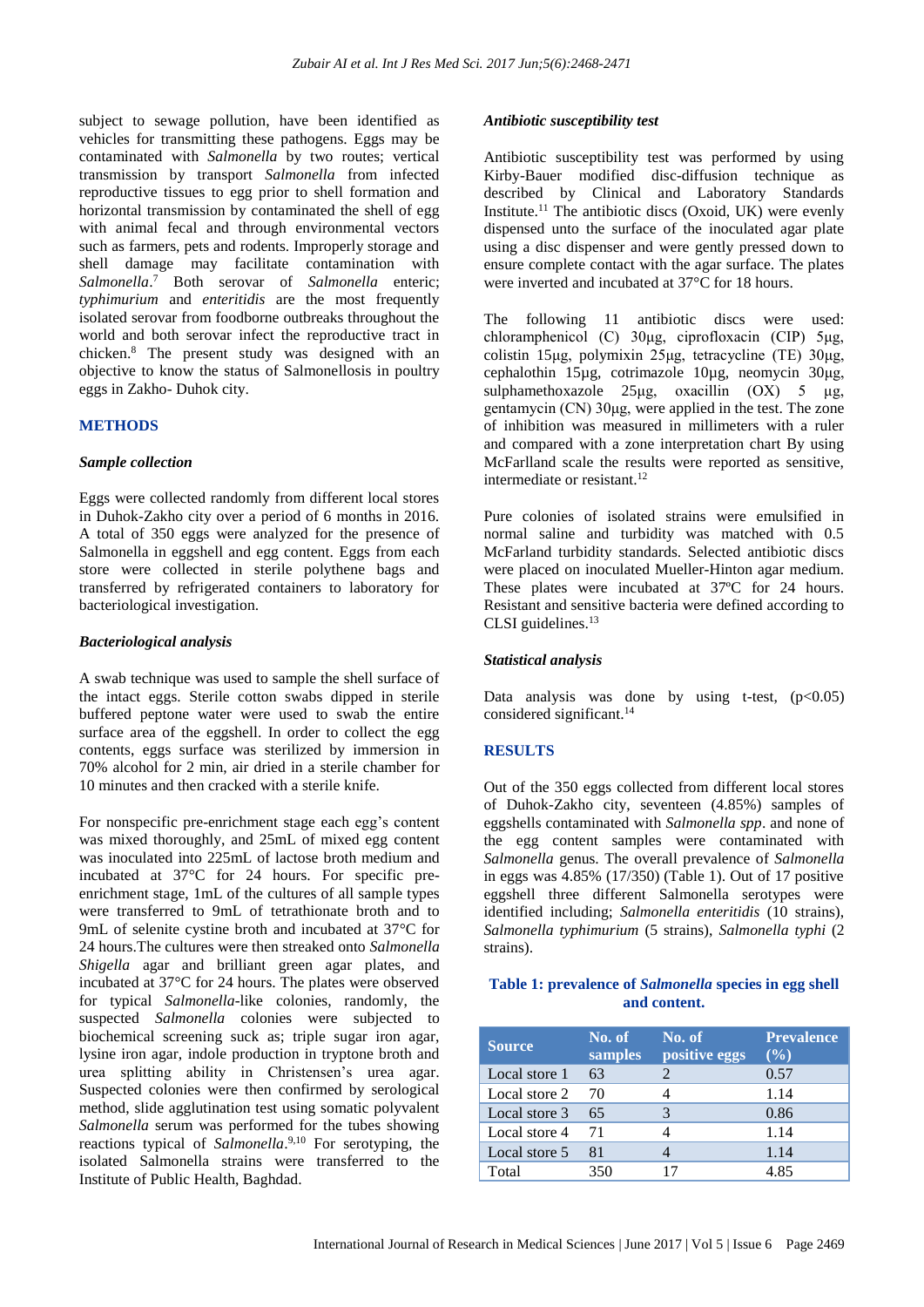subject to sewage pollution, have been identified as vehicles for transmitting these pathogens. Eggs may be contaminated with *Salmonella* by two routes; vertical transmission by transport *Salmonella* from infected reproductive tissues to egg prior to shell formation and horizontal transmission by contaminated the shell of egg with animal fecal and through environmental vectors such as farmers, pets and rodents. Improperly storage and shell damage may facilitate contamination with *Salmonella*. <sup>7</sup> Both serovar of *Salmonella* enteric; *typhimurium* and *enteritidis* are the most frequently isolated serovar from foodborne outbreaks throughout the world and both serovar infect the reproductive tract in chicken.<sup>8</sup> The present study was designed with an objective to know the status of Salmonellosis in poultry eggs in Zakho- Duhok city.

#### **METHODS**

#### *Sample collection*

Eggs were collected randomly from different local stores in Duhok-Zakho city over a period of 6 months in 2016. A total of 350 eggs were analyzed for the presence of Salmonella in eggshell and egg content. Eggs from each store were collected in sterile polythene bags and transferred by refrigerated containers to laboratory for bacteriological investigation.

#### *Bacteriological analysis*

A swab technique was used to sample the shell surface of the intact eggs. Sterile cotton swabs dipped in sterile buffered peptone water were used to swab the entire surface area of the eggshell. In order to collect the egg contents, eggs surface was sterilized by immersion in 70% alcohol for 2 min, air dried in a sterile chamber for 10 minutes and then cracked with a sterile knife.

For nonspecific pre-enrichment stage each egg's content was mixed thoroughly, and 25mL of mixed egg content was inoculated into 225mL of lactose broth medium and incubated at 37°C for 24 hours. For specific preenrichment stage, 1mL of the cultures of all sample types were transferred to 9mL of tetrathionate broth and to 9mL of selenite cystine broth and incubated at 37°C for 24 hours.The cultures were then streaked onto *Salmonella Shigella* agar and brilliant green agar plates, and incubated at 37°C for 24 hours. The plates were observed for typical *Salmonella*-like colonies, randomly, the suspected *Salmonella* colonies were subjected to biochemical screening suck as; triple sugar iron agar, lysine iron agar, indole production in tryptone broth and urea splitting ability in Christensen's urea agar. Suspected colonies were then confirmed by serological method, slide agglutination test using somatic polyvalent *Salmonella* serum was performed for the tubes showing reactions typical of *Salmonella*. 9,10 For serotyping, the isolated Salmonella strains were transferred to the Institute of Public Health, Baghdad.

#### *Antibiotic susceptibility test*

Antibiotic susceptibility test was performed by using Kirby-Bauer modified disc-diffusion technique as described by Clinical and Laboratory Standards Institute.<sup>11</sup> The antibiotic discs (Oxoid, UK) were evenly dispensed unto the surface of the inoculated agar plate using a disc dispenser and were gently pressed down to ensure complete contact with the agar surface. The plates were inverted and incubated at 37<sup>°</sup>C for 18 hours.

The following 11 antibiotic discs were used: chloramphenicol (C) 30μg, ciprofloxacin (CIP) 5μg, colistin 15μg, polymixin 25μg, tetracycline (TE) 30μg, cephalothin 15µg, cotrimazole 10µg, neomycin 30μg, sulphamethoxazole 25μg, oxacillin (OX) 5 μg, gentamycin (CN) 30μg, were applied in the test. The zone of inhibition was measured in millimeters with a ruler and compared with a zone interpretation chart By using McFarlland scale the results were reported as sensitive, intermediate or resistant.<sup>12</sup>

Pure colonies of isolated strains were emulsified in normal saline and turbidity was matched with 0.5 McFarland turbidity standards. Selected antibiotic discs were placed on inoculated Mueller-Hinton agar medium. These plates were incubated at 37ºC for 24 hours. Resistant and sensitive bacteria were defined according to CLSI guidelines.<sup>13</sup>

#### *Statistical analysis*

Data analysis was done by using t-test,  $(p<0.05)$ considered significant.<sup>14</sup>

#### **RESULTS**

Out of the 350 eggs collected from different local stores of Duhok-Zakho city, seventeen (4.85%) samples of eggshells contaminated with *Salmonella spp*. and none of the egg content samples were contaminated with *Salmonella* genus. The overall prevalence of *Salmonella* in eggs was 4.85% (17/350) (Table 1). Out of 17 positive eggshell three different Salmonella serotypes were identified including; *Salmonella enteritidis* (10 strains), *Salmonella typhimurium* (5 strains), *Salmonella typhi* (2 strains).

#### **Table 1: prevalence of** *Salmonella* **species in egg shell and content.**

| <b>Source</b> | No. of<br>samples | No. of<br>positive eggs | <b>Prevalence</b><br>$($ %) |
|---------------|-------------------|-------------------------|-----------------------------|
| Local store 1 | 63                |                         | 0.57                        |
| Local store 2 | 70                |                         | 1.14                        |
| Local store 3 | 65                |                         | 0.86                        |
| Local store 4 | 71                |                         | 1.14                        |
| Local store 5 | 81                |                         | 1.14                        |
| Total         | 350               | 17                      | 4.85                        |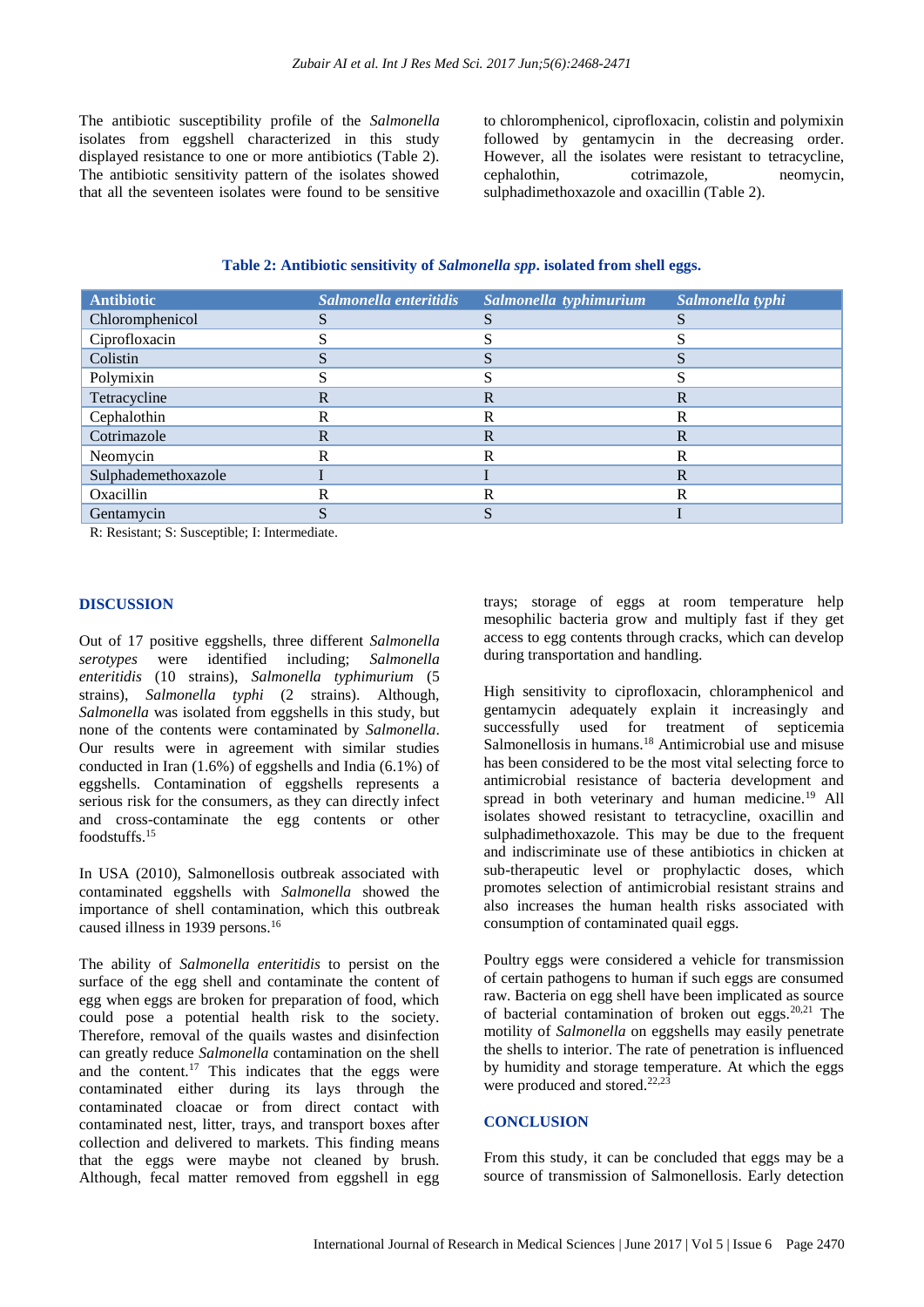The antibiotic susceptibility profile of the *Salmonella* isolates from eggshell characterized in this study displayed resistance to one or more antibiotics (Table 2). The antibiotic sensitivity pattern of the isolates showed that all the seventeen isolates were found to be sensitive

to chloromphenicol, ciprofloxacin, colistin and polymixin followed by gentamycin in the decreasing order. However, all the isolates were resistant to tetracycline, cephalothin, cotrimazole, neomycin, sulphadimethoxazole and oxacillin (Table 2).

| <b>Antibiotic</b>   | Salmonella enteritidis | Salmonella typhimurium | Salmonella typhi |
|---------------------|------------------------|------------------------|------------------|
| Chloromphenicol     |                        |                        |                  |
| Ciprofloxacin       |                        |                        |                  |
| Colistin            |                        |                        |                  |
| Polymixin           |                        |                        |                  |
| Tetracycline        | R                      | R                      | R                |
| Cephalothin         | R                      | R                      | R                |
| Cotrimazole         | R                      | R                      | R                |
| Neomycin            | R                      | R                      | R                |
| Sulphademethoxazole |                        |                        | R                |
| Oxacillin           | R                      | R                      | R                |
| Gentamycin          |                        |                        |                  |
|                     |                        |                        |                  |

**Table 2: Antibiotic sensitivity of** *Salmonella spp***. isolated from shell eggs.**

R: Resistant; S: Susceptible; I: Intermediate.

#### **DISCUSSION**

Out of 17 positive eggshells, three different *Salmonella serotypes* were identified including; *Salmonella enteritidis* (10 strains), *Salmonella typhimurium* (5 strains), *Salmonella typhi* (2 strains). Although, *Salmonella* was isolated from eggshells in this study, but none of the contents were contaminated by *Salmonella*. Our results were in agreement with similar studies conducted in Iran (1.6%) of eggshells and India (6.1%) of eggshells. Contamination of eggshells represents a serious risk for the consumers, as they can directly infect and cross-contaminate the egg contents or other foodstuffs.<sup>15</sup>

In USA (2010), Salmonellosis outbreak associated with contaminated eggshells with *Salmonella* showed the importance of shell contamination, which this outbreak caused illness in 1939 persons.<sup>16</sup>

The ability of *Salmonella enteritidis* to persist on the surface of the egg shell and contaminate the content of egg when eggs are broken for preparation of food, which could pose a potential health risk to the society. Therefore, removal of the quails wastes and disinfection can greatly reduce *Salmonella* contamination on the shell and the content.<sup>17</sup> This indicates that the eggs were contaminated either during its lays through the contaminated cloacae or from direct contact with contaminated nest, litter, trays, and transport boxes after collection and delivered to markets. This finding means that the eggs were maybe not cleaned by brush. Although, fecal matter removed from eggshell in egg trays; storage of eggs at room temperature help mesophilic bacteria grow and multiply fast if they get access to egg contents through cracks, which can develop during transportation and handling.

High sensitivity to ciprofloxacin, chloramphenicol and gentamycin adequately explain it increasingly and successfully used for treatment of septicemia Salmonellosis in humans.<sup>18</sup> Antimicrobial use and misuse has been considered to be the most vital selecting force to antimicrobial resistance of bacteria development and spread in both veterinary and human medicine.<sup>19</sup> All isolates showed resistant to tetracycline, oxacillin and sulphadimethoxazole. This may be due to the frequent and indiscriminate use of these antibiotics in chicken at sub-therapeutic level or prophylactic doses, which promotes selection of antimicrobial resistant strains and also increases the human health risks associated with consumption of contaminated quail eggs.

Poultry eggs were considered a vehicle for transmission of certain pathogens to human if such eggs are consumed raw. Bacteria on egg shell have been implicated as source of bacterial contamination of broken out eggs. $20,21$  The motility of *Salmonella* on eggshells may easily penetrate the shells to interior. The rate of penetration is influenced by humidity and storage temperature. At which the eggs were produced and stored.<sup>22,23</sup>

#### **CONCLUSION**

From this study, it can be concluded that eggs may be a source of transmission of Salmonellosis. Early detection